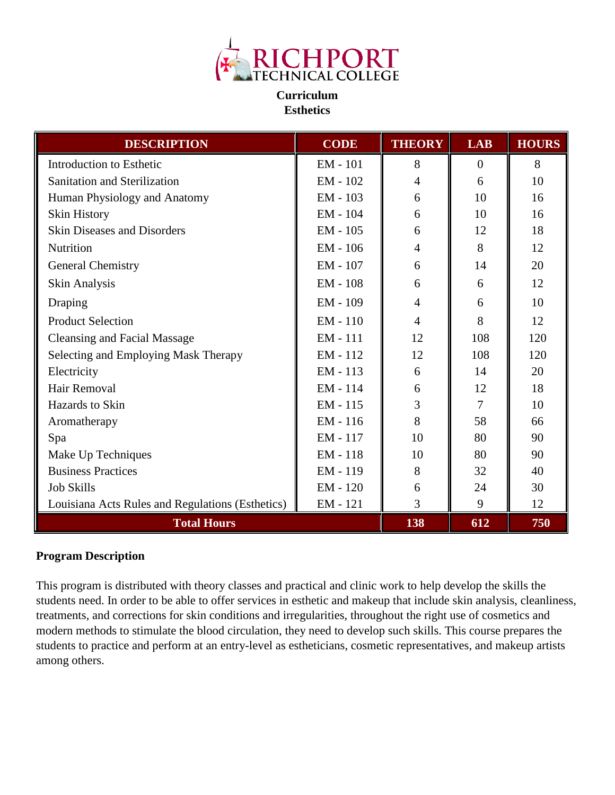

#### **Curriculum Esthetics**

| <b>DESCRIPTION</b>                               | <b>CODE</b> | <b>THEORY</b>  | <b>LAB</b>       | <b>HOURS</b> |
|--------------------------------------------------|-------------|----------------|------------------|--------------|
| Introduction to Esthetic                         | EM - 101    | 8              | $\boldsymbol{0}$ | 8            |
| <b>Sanitation and Sterilization</b>              | EM - 102    | $\overline{4}$ | 6                | 10           |
| Human Physiology and Anatomy                     | EM - 103    | 6              | 10               | 16           |
| <b>Skin History</b>                              | EM - 104    | 6              | 10               | 16           |
| <b>Skin Diseases and Disorders</b>               | $EM - 105$  | 6              | 12               | 18           |
| Nutrition                                        | EM - 106    | $\overline{4}$ | 8                | 12           |
| <b>General Chemistry</b>                         | EM - 107    | 6              | 14               | 20           |
| <b>Skin Analysis</b>                             | EM - 108    | 6              | 6                | 12           |
| Draping                                          | EM - 109    | 4              | 6                | 10           |
| <b>Product Selection</b>                         | EM - 110    | $\overline{4}$ | 8                | 12           |
| <b>Cleansing and Facial Massage</b>              | EM - 111    | 12             | 108              | 120          |
| Selecting and Employing Mask Therapy             | EM - 112    | 12             | 108              | 120          |
| Electricity                                      | $EM - 113$  | 6              | 14               | 20           |
| Hair Removal                                     | EM - 114    | 6              | 12               | 18           |
| Hazards to Skin                                  | EM - 115    | 3              | 7                | 10           |
| Aromatherapy                                     | EM - 116    | 8              | 58               | 66           |
| Spa                                              | EM - 117    | 10             | 80               | 90           |
| Make Up Techniques                               | EM - 118    | 10             | 80               | 90           |
| <b>Business Practices</b>                        | EM - 119    | 8              | 32               | 40           |
| <b>Job Skills</b>                                | EM - 120    | 6              | 24               | 30           |
| Louisiana Acts Rules and Regulations (Esthetics) | EM - 121    | 3              | 9                | 12           |
| <b>Total Hours</b>                               |             | 138            | 612              | 750          |

# **Program Description**

This program is distributed with theory classes and practical and clinic work to help develop the skills the students need. In order to be able to offer services in esthetic and makeup that include skin analysis, cleanliness, treatments, and corrections for skin conditions and irregularities, throughout the right use of cosmetics and modern methods to stimulate the blood circulation, they need to develop such skills. This course prepares the students to practice and perform at an entry-level as estheticians, cosmetic representatives, and makeup artists among others.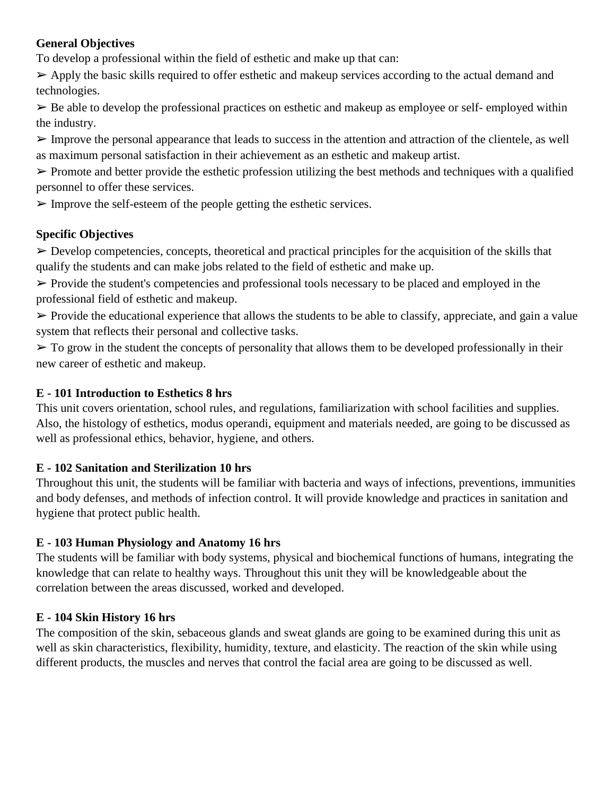## **General Objectives**

To develop a professional within the field of esthetic and make up that can:

 $\triangleright$  Apply the basic skills required to offer esthetic and makeup services according to the actual demand and technologies.

 $\triangleright$  Be able to develop the professional practices on esthetic and makeup as employee or self- employed within the industry.

 $\triangleright$  Improve the personal appearance that leads to success in the attention and attraction of the clientele, as well as maximum personal satisfaction in their achievement as an esthetic and makeup artist.

 $\triangleright$  Promote and better provide the esthetic profession utilizing the best methods and techniques with a qualified personnel to offer these services.

 $\triangleright$  Improve the self-esteem of the people getting the esthetic services.

# **Specific Objectives**

 $\triangleright$  Develop competencies, concepts, theoretical and practical principles for the acquisition of the skills that qualify the students and can make jobs related to the field of esthetic and make up.

 $\triangleright$  Provide the student's competencies and professional tools necessary to be placed and employed in the professional field of esthetic and makeup.

 $\triangleright$  Provide the educational experience that allows the students to be able to classify, appreciate, and gain a value system that reflects their personal and collective tasks.

 $\triangleright$  To grow in the student the concepts of personality that allows them to be developed professionally in their new career of esthetic and makeup.

### **E - 101 Introduction to Esthetics 8 hrs**

This unit covers orientation, school rules, and regulations, familiarization with school facilities and supplies. Also, the histology of esthetics, modus operandi, equipment and materials needed, are going to be discussed as well as professional ethics, behavior, hygiene, and others.

#### **E - 102 Sanitation and Sterilization 10 hrs**

Throughout this unit, the students will be familiar with bacteria and ways of infections, preventions, immunities and body defenses, and methods of infection control. It will provide knowledge and practices in sanitation and hygiene that protect public health.

# **E - 103 Human Physiology and Anatomy 16 hrs**

The students will be familiar with body systems, physical and biochemical functions of humans, integrating the knowledge that can relate to healthy ways. Throughout this unit they will be knowledgeable about the correlation between the areas discussed, worked and developed.

# **E - 104 Skin History 16 hrs**

The composition of the skin, sebaceous glands and sweat glands are going to be examined during this unit as well as skin characteristics, flexibility, humidity, texture, and elasticity. The reaction of the skin while using different products, the muscles and nerves that control the facial area are going to be discussed as well.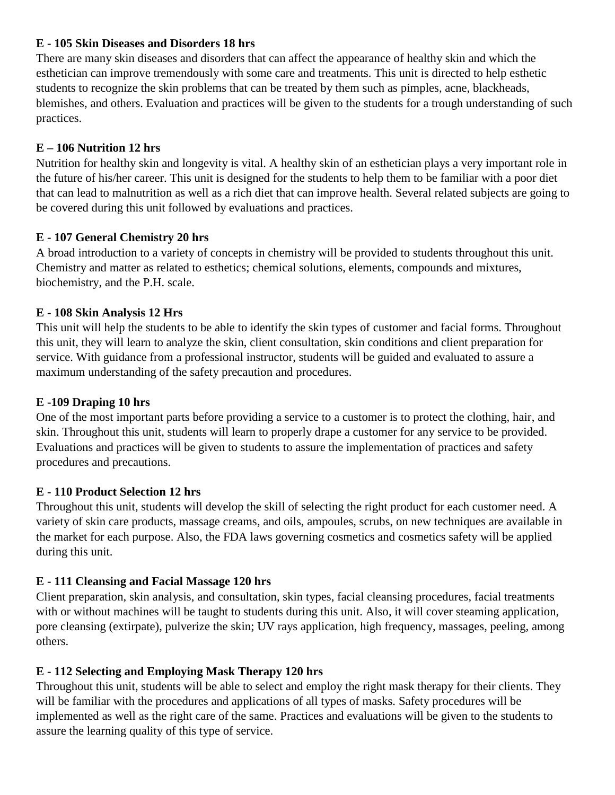#### **E - 105 Skin Diseases and Disorders 18 hrs**

There are many skin diseases and disorders that can affect the appearance of healthy skin and which the esthetician can improve tremendously with some care and treatments. This unit is directed to help esthetic students to recognize the skin problems that can be treated by them such as pimples, acne, blackheads, blemishes, and others. Evaluation and practices will be given to the students for a trough understanding of such practices.

## **E – 106 Nutrition 12 hrs**

Nutrition for healthy skin and longevity is vital. A healthy skin of an esthetician plays a very important role in the future of his/her career. This unit is designed for the students to help them to be familiar with a poor diet that can lead to malnutrition as well as a rich diet that can improve health. Several related subjects are going to be covered during this unit followed by evaluations and practices.

### **E - 107 General Chemistry 20 hrs**

A broad introduction to a variety of concepts in chemistry will be provided to students throughout this unit. Chemistry and matter as related to esthetics; chemical solutions, elements, compounds and mixtures, biochemistry, and the P.H. scale.

### **E - 108 Skin Analysis 12 Hrs**

This unit will help the students to be able to identify the skin types of customer and facial forms. Throughout this unit, they will learn to analyze the skin, client consultation, skin conditions and client preparation for service. With guidance from a professional instructor, students will be guided and evaluated to assure a maximum understanding of the safety precaution and procedures.

### **E -109 Draping 10 hrs**

One of the most important parts before providing a service to a customer is to protect the clothing, hair, and skin. Throughout this unit, students will learn to properly drape a customer for any service to be provided. Evaluations and practices will be given to students to assure the implementation of practices and safety procedures and precautions.

#### **E - 110 Product Selection 12 hrs**

Throughout this unit, students will develop the skill of selecting the right product for each customer need. A variety of skin care products, massage creams, and oils, ampoules, scrubs, on new techniques are available in the market for each purpose. Also, the FDA laws governing cosmetics and cosmetics safety will be applied during this unit.

# **E - 111 Cleansing and Facial Massage 120 hrs**

Client preparation, skin analysis, and consultation, skin types, facial cleansing procedures, facial treatments with or without machines will be taught to students during this unit. Also, it will cover steaming application, pore cleansing (extirpate), pulverize the skin; UV rays application, high frequency, massages, peeling, among others.

# **E - 112 Selecting and Employing Mask Therapy 120 hrs**

Throughout this unit, students will be able to select and employ the right mask therapy for their clients. They will be familiar with the procedures and applications of all types of masks. Safety procedures will be implemented as well as the right care of the same. Practices and evaluations will be given to the students to assure the learning quality of this type of service.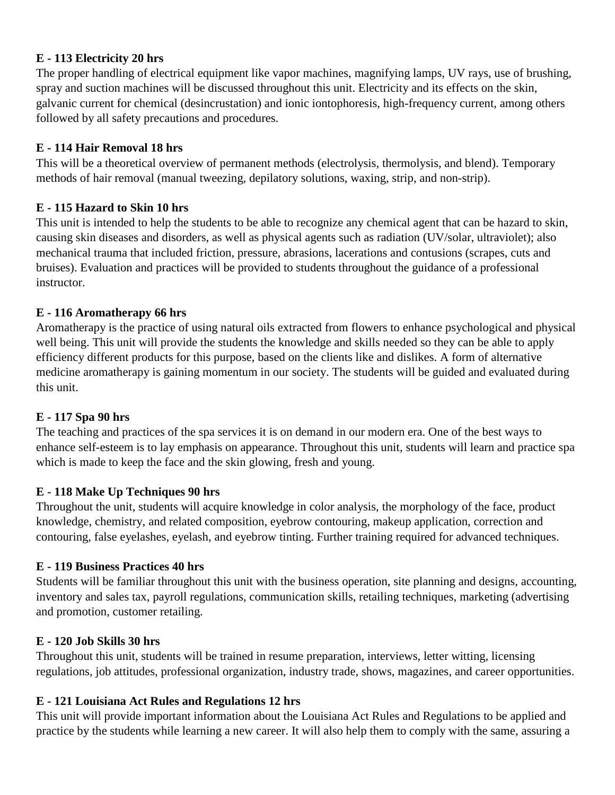## **E - 113 Electricity 20 hrs**

The proper handling of electrical equipment like vapor machines, magnifying lamps, UV rays, use of brushing, spray and suction machines will be discussed throughout this unit. Electricity and its effects on the skin, galvanic current for chemical (desincrustation) and ionic iontophoresis, high-frequency current, among others followed by all safety precautions and procedures.

### **E - 114 Hair Removal 18 hrs**

This will be a theoretical overview of permanent methods (electrolysis, thermolysis, and blend). Temporary methods of hair removal (manual tweezing, depilatory solutions, waxing, strip, and non-strip).

### **E - 115 Hazard to Skin 10 hrs**

This unit is intended to help the students to be able to recognize any chemical agent that can be hazard to skin, causing skin diseases and disorders, as well as physical agents such as radiation (UV/solar, ultraviolet); also mechanical trauma that included friction, pressure, abrasions, lacerations and contusions (scrapes, cuts and bruises). Evaluation and practices will be provided to students throughout the guidance of a professional instructor.

#### **E - 116 Aromatherapy 66 hrs**

Aromatherapy is the practice of using natural oils extracted from flowers to enhance psychological and physical well being. This unit will provide the students the knowledge and skills needed so they can be able to apply efficiency different products for this purpose, based on the clients like and dislikes. A form of alternative medicine aromatherapy is gaining momentum in our society. The students will be guided and evaluated during this unit.

#### **E - 117 Spa 90 hrs**

The teaching and practices of the spa services it is on demand in our modern era. One of the best ways to enhance self-esteem is to lay emphasis on appearance. Throughout this unit, students will learn and practice spa which is made to keep the face and the skin glowing, fresh and young.

#### **E - 118 Make Up Techniques 90 hrs**

Throughout the unit, students will acquire knowledge in color analysis, the morphology of the face, product knowledge, chemistry, and related composition, eyebrow contouring, makeup application, correction and contouring, false eyelashes, eyelash, and eyebrow tinting. Further training required for advanced techniques.

#### **E - 119 Business Practices 40 hrs**

Students will be familiar throughout this unit with the business operation, site planning and designs, accounting, inventory and sales tax, payroll regulations, communication skills, retailing techniques, marketing (advertising and promotion, customer retailing.

#### **E - 120 Job Skills 30 hrs**

Throughout this unit, students will be trained in resume preparation, interviews, letter witting, licensing regulations, job attitudes, professional organization, industry trade, shows, magazines, and career opportunities.

#### **E - 121 Louisiana Act Rules and Regulations 12 hrs**

This unit will provide important information about the Louisiana Act Rules and Regulations to be applied and practice by the students while learning a new career. It will also help them to comply with the same, assuring a